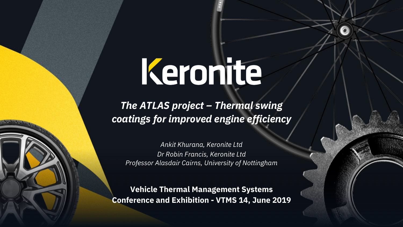# Keronite

*The ATLAS project – Thermal swing coatings for improved engine efficiency*

*Ankit Khurana, Keronite Ltd Dr Robin Francis, Keronite Ltd Professor Alasdair Cairns, University of Nottingham*

**Vehicle Thermal Management Systems Conference and Exhibition - VTMS 14, June 2019**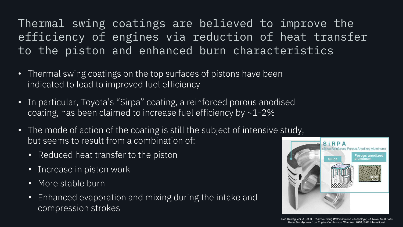### Thermal swing coatings are believed to improve the efficiency of engines via reduction of heat transfer to the piston and enhanced burn characteristics

- Thermal swing coatings on the top surfaces of pistons have been indicated to lead to improved fuel efficiency
- In particular, Toyota's "Sirpa" coating, a reinforced porous anodised coating, has been claimed to increase fuel efficiency by ~1-2%
- The mode of action of the coating is still the subject of intensive study, but seems to result from a combination of:
	- Reduced heat transfer to the piston
	- Increase in piston work
	- More stable burn
	- Enhanced evaporation and mixing during the intake and compression strokes



Ref: Kawaguchi, A., et al., *Thermo-Swing Wall Insulation Technology; - A Novel Heat Loss Reduction Approach on Engine Combustion Chamber*. 2016, SAE International.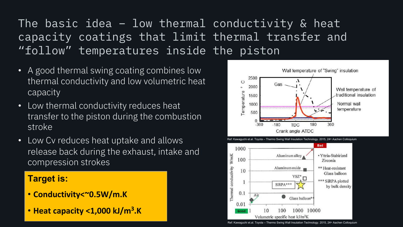### The basic idea – low thermal conductivity & heat capacity coatings that limit thermal transfer and "follow" temperatures inside the piston

- A good thermal swing coating combines low thermal conductivity and low volumetric heat capacity
- Low thermal conductivity reduces heat transfer to the piston during the combustion stroke
- Low Cv reduces heat uptake and allows release back during the exhaust, intake and compression strokes

#### **Target is:**

- **Conductivity<~0.5W/m.K**
- **Heat capacity <1,000 kJ/m3.K**



Ref: Kawaguchi et.al. Toyota – Thermo Swing Wall Insulation Technology. 2015, 24<sup>th</sup> Aachen Colloquium

Volumetric specific heat kJ/m<sup>3</sup>K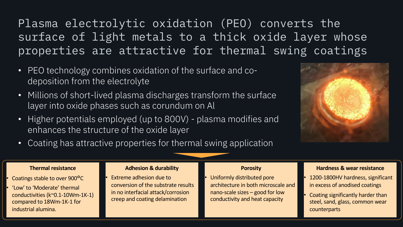Plasma electrolytic oxidation (PEO) converts the surface of light metals to a thick oxide layer whose properties are attractive for thermal swing coatings

- PEO technology combines oxidation of the surface and codeposition from the electrolyte
- Millions of short-lived plasma discharges transform the surface layer into oxide phases such as corundum on Al
- Higher potentials employed (up to 800V) plasma modifies and enhances the structure of the oxide layer



• Coating has attractive properties for thermal swing application

#### **Thermal resistance**

- Coatings stable to over 900°C
- 'Low' to 'Moderate' thermal conductivities (k~0.1-10Wm-1K-1) compared to 18Wm-1K-1 for industrial alumina.

#### **Adhesion & durability**

• Extreme adhesion due to conversion of the substrate results in no interfacial attack/corrosion creep and coating delamination

#### **Porosity**

• Uniformly distributed pore architecture in both microscale and nano-scale sizes – good for low conductivity and heat capacity

#### **Hardness & wear resistance**

- 1200-1800HV hardness, significant in excess of anodised coatings
- Coating significantly harder than steel, sand, glass, common wear counterparts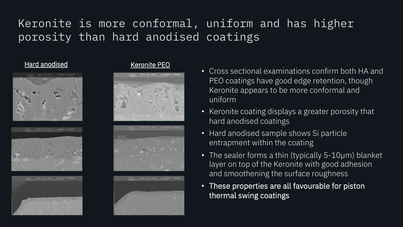# Keronite is more conformal, uniform and has higher porosity than hard anodised coatings

#### Hard anodised Keronite PEO













- Cross sectional examinations confirm both HA and PEO coatings have good edge retention, though Keronite appears to be more conformal and uniform
- Keronite coating displays a greater porosity that hard anodised coatings
- Hard anodised sample shows Si particle entrapment within the coating
- The sealer forms a thin (typically 5-10µm) blanket layer on top of the Keronite with good adhesion and smoothening the surface roughness
- These properties are all favourable for piston thermal swing coatings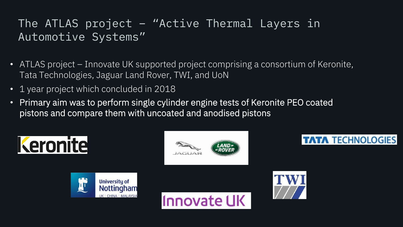### The ATLAS project – "Active Thermal Layers in Automotive Systems"

- ATLAS project Innovate UK supported project comprising a consortium of Keronite, Tata Technologies, Jaguar Land Rover, TWI, and UoN
- 1 year project which concluded in 2018
- Primary aim was to perform single cylinder engine tests of Keronite PEO coated pistons and compare them with uncoated and anodised pistons

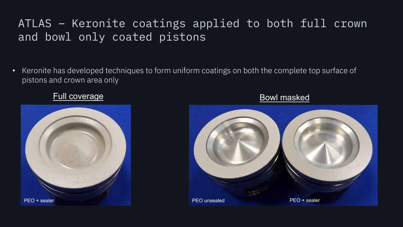### ATLAS – Keronite coatings applied to both full crown and bowl only coated pistons

• Keronite has developed techniques to form uniform coatings on both the complete top surface of pistons and crown area only

#### Full coverage **Bowl masked**



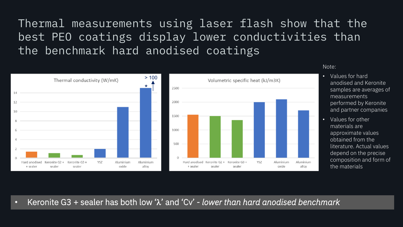Thermal measurements using laser flash show that the best PEO coatings display lower conductivities than the benchmark hard anodised coatings



Note:

- Values for hard anodised and Keronite samples are averages of measurements performed by Keronite and partner companies
- Values for other materials are approximate values obtained from the literature. Actual values depend on the precise composition and form of the materials

• Keronite G3 + sealer has both low ' $\lambda$ ' and 'Cv' - *lower than hard anodised benchmark*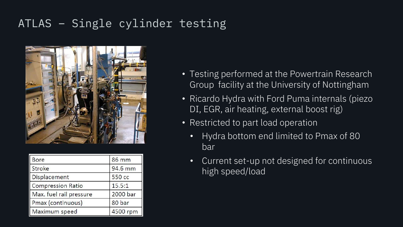### ATLAS – Single cylinder testing



| Bore                     | 86 mm    |
|--------------------------|----------|
| Stroke                   | 94.6 mm  |
| Displacement             | 550 cc   |
| <b>Compression Ratio</b> | 15.5:1   |
| Max. fuel rail pressure  | 2000 bar |
| Pmax (continuous)        | 80 bar   |
| Maximum speed            | 4500 rpm |

- Testing performed at the Powertrain Research Group facility at the University of Nottingham
- Ricardo Hydra with Ford Puma internals (piezo DI, EGR, air heating, external boost rig)
- Restricted to part load operation
	- Hydra bottom end limited to Pmax of 80 bar
	- Current set-up not designed for continuous high speed/load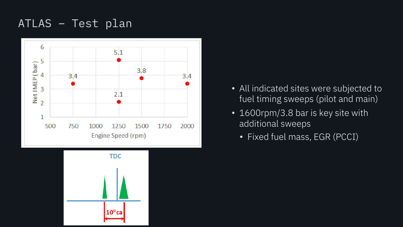### ATLAS – Test plan





- All indicated sites were subjected to fuel timing sweeps (pilot and main)
- 1600rpm/3.8 bar is key site with additional sweeps
	- Fixed fuel mass, EGR (PCCI)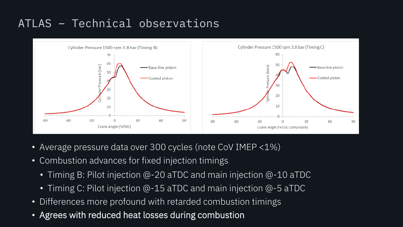# ATLAS – Technical observations



- Average pressure data over 300 cycles (note CoV IMEP <1%)
- Combustion advances for fixed injection timings
	- Timing B: Pilot injection @-20 aTDC and main injection @-10 aTDC
	- Timing C: Pilot injection @-15 aTDC and main injection @-5 aTDC
- Differences more profound with retarded combustion timings
- Agrees with reduced heat losses during combustion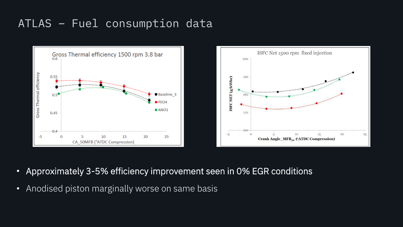#### ATLAS – Fuel consumption data



- Approximately 3-5% efficiency improvement seen in 0% EGR conditions
- Anodised piston marginally worse on same basis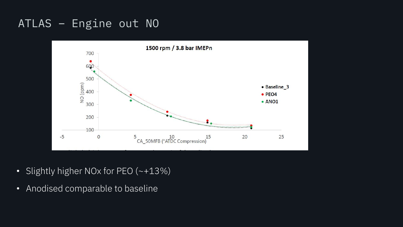#### ATLAS – Engine out NO



- Slightly higher NOx for PEO (~+13%)
- Anodised comparable to baseline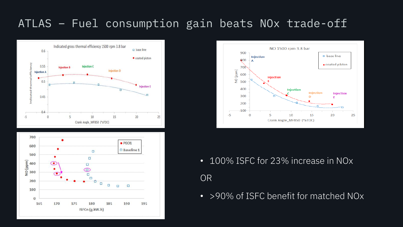### ATLAS – Fuel consumption gain beats NOx trade-off







- 100% ISFC for 23% increase in NO<sub>x</sub> OR
- >90% of ISFC benefit for matched NO<sub>x</sub>